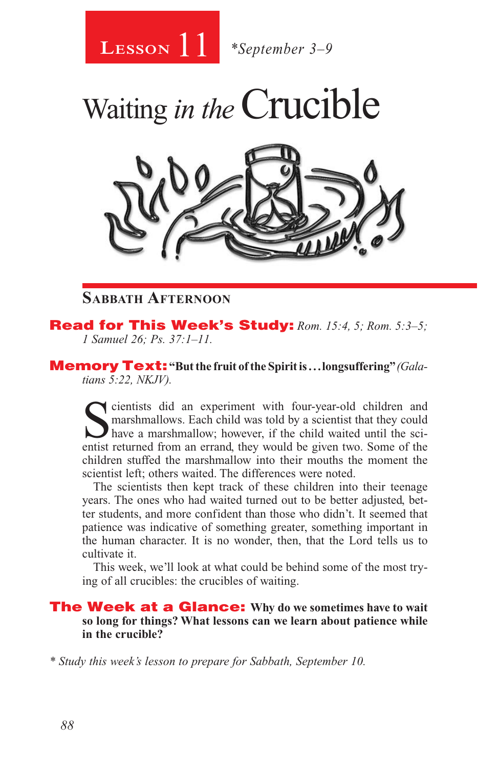11 **Lesson** *\*September 3–9*



#### **Sabbath Afternoon**

Read for This Week's Study: *Rom. 15:4, 5; Rom. 5:3–5; 1 Samuel 26; Ps. 37:1–11.* 

Memory Text: **"But the fruit of the Spirit is . . . longsuffering"** *(Galatians 5:22, NKJV).* 

Solution and the margin state of the margin of the margin marshmallows. Each child was told by a scientist that they could have a marshmallow; however, if the child waited until the scientist returned from an errand they w marshmallows. Each child was told by a scientist that they could entist returned from an errand, they would be given two. Some of the children stuffed the marshmallow into their mouths the moment the scientist left; others waited. The differences were noted.

The scientists then kept track of these children into their teenage years. The ones who had waited turned out to be better adjusted, better students, and more confident than those who didn't. It seemed that patience was indicative of something greater, something important in the human character. It is no wonder, then, that the Lord tells us to cultivate it.

This week, we'll look at what could be behind some of the most trying of all crucibles: the crucibles of waiting.

The Week at a Glance: **Why do we sometimes have to wait so long for things? What lessons can we learn about patience while in the crucible?**

*\* Study this week's lesson to prepare for Sabbath, September 10.*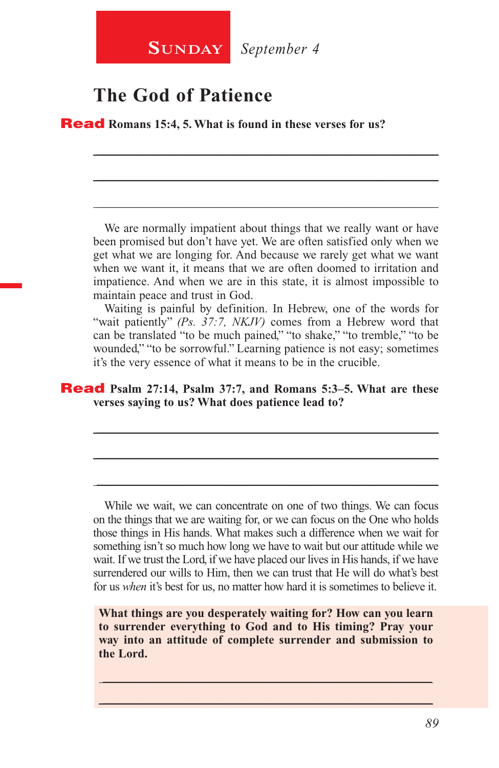

### **The God of Patience**

Read **Romans 15:4, 5. What is found in these verses for us?**

We are normally impatient about things that we really want or have been promised but don't have yet. We are often satisfied only when we get what we are longing for. And because we rarely get what we want when we want it, it means that we are often doomed to irritation and impatience. And when we are in this state, it is almost impossible to maintain peace and trust in God.

\_\_\_\_\_\_\_\_\_\_\_\_\_\_\_\_\_\_\_\_\_\_\_\_\_\_\_\_\_\_\_\_\_\_\_\_\_\_\_\_\_\_\_\_\_\_\_\_\_\_\_\_\_\_\_\_

\_\_\_\_\_\_\_\_\_\_\_\_\_\_\_\_\_\_\_\_\_\_\_\_\_\_\_\_\_\_\_\_\_\_\_\_\_\_\_\_\_\_\_\_\_\_\_\_\_\_\_\_\_\_\_\_

\_\_\_\_\_\_\_\_\_\_\_\_\_\_\_\_\_\_\_\_\_\_\_\_\_\_\_\_\_\_\_\_\_\_\_\_\_\_\_\_\_\_\_\_\_\_\_\_\_\_\_\_\_\_\_\_

Waiting is painful by definition. In Hebrew, one of the words for "wait patiently" *(Ps. 37:7, NKJV)* comes from a Hebrew word that can be translated "to be much pained," "to shake," "to tremble," "to be wounded," "to be sorrowful." Learning patience is not easy; sometimes it's the very essence of what it means to be in the crucible.

\_\_\_\_\_\_\_\_\_\_\_\_\_\_\_\_\_\_\_\_\_\_\_\_\_\_\_\_\_\_\_\_\_\_\_\_\_\_\_\_\_\_\_\_\_\_\_\_\_\_\_\_\_\_\_\_

\_\_\_\_\_\_\_\_\_\_\_\_\_\_\_\_\_\_\_\_\_\_\_\_\_\_\_\_\_\_\_\_\_\_\_\_\_\_\_\_\_\_\_\_\_\_\_\_\_\_\_\_\_\_\_\_

\_\_\_\_\_\_\_\_\_\_\_\_\_\_\_\_\_\_\_\_\_\_\_\_\_\_\_\_\_\_\_\_\_\_\_\_\_\_\_\_\_\_\_\_\_\_\_\_\_\_\_\_\_\_\_\_

#### Read **Psalm 27:14, Psalm 37:7, and Romans 5:3–5. What are these verses saying to us? What does patience lead to?**

While we wait, we can concentrate on one of two things. We can focus on the things that we are waiting for, or we can focus on the One who holds those things in His hands. What makes such a difference when we wait for something isn't so much how long we have to wait but our attitude while we wait. If we trust the Lord, if we have placed our lives in His hands, if we have surrendered our wills to Him, then we can trust that He will do what's best for us *when* it's best for us, no matter how hard it is sometimes to believe it.

**What things are you desperately waiting for? How can you learn to surrender everything to God and to His timing? Pray your way into an attitude of complete surrender and submission to the Lord.**

\_\_\_\_\_\_\_\_\_\_\_\_\_\_\_\_\_\_\_\_\_\_\_\_\_\_\_\_\_\_\_\_\_\_\_\_\_\_\_\_\_\_\_\_\_\_\_\_\_\_\_\_\_\_ \_\_\_\_\_\_\_\_\_\_\_\_\_\_\_\_\_\_\_\_\_\_\_\_\_\_\_\_\_\_\_\_\_\_\_\_\_\_\_\_\_\_\_\_\_\_\_\_\_\_\_\_\_\_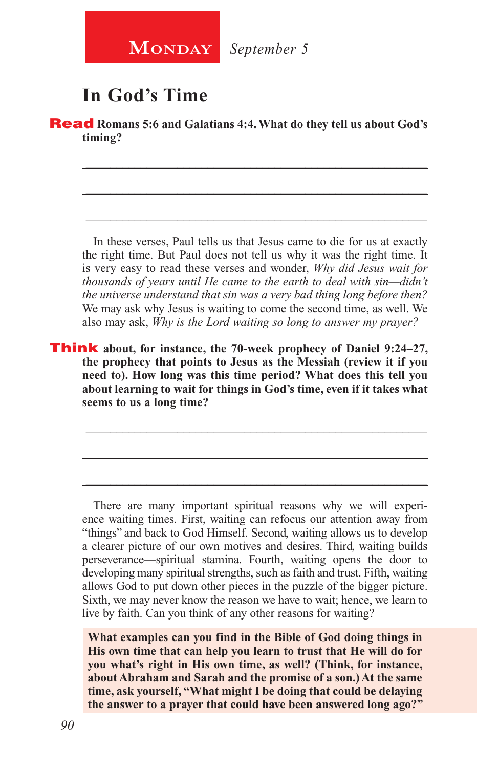**MONDAY** September 5

## **In God's Time**

**Read** Romans 5:6 and Galatians 4:4. What do they tell us about God's **timing?**

\_\_\_\_\_\_\_\_\_\_\_\_\_\_\_\_\_\_\_\_\_\_\_\_\_\_\_\_\_\_\_\_\_\_\_\_\_\_\_\_\_\_\_\_\_\_\_\_\_\_\_\_\_\_\_\_

\_\_\_\_\_\_\_\_\_\_\_\_\_\_\_\_\_\_\_\_\_\_\_\_\_\_\_\_\_\_\_\_\_\_\_\_\_\_\_\_\_\_\_\_\_\_\_\_\_\_\_\_\_\_\_\_

\_\_\_\_\_\_\_\_\_\_\_\_\_\_\_\_\_\_\_\_\_\_\_\_\_\_\_\_\_\_\_\_\_\_\_\_\_\_\_\_\_\_\_\_\_\_\_\_\_\_\_\_\_\_\_\_

In these verses, Paul tells us that Jesus came to die for us at exactly the right time. But Paul does not tell us why it was the right time. It is very easy to read these verses and wonder, *Why did Jesus wait for thousands of years until He came to the earth to deal with sin—didn't the universe understand that sin was a very bad thing long before then?*  We may ask why Jesus is waiting to come the second time, as well. We also may ask, *Why is the Lord waiting so long to answer my prayer?*

Think **about, for instance, the 70-week prophecy of Daniel 9:24–27, the prophecy that points to Jesus as the Messiah (review it if you need to). How long was this time period? What does this tell you about learning to wait for things in God's time, even if it takes what seems to us a long time?**

There are many important spiritual reasons why we will experience waiting times. First, waiting can refocus our attention away from "things" and back to God Himself. Second, waiting allows us to develop a clearer picture of our own motives and desires. Third, waiting builds perseverance—spiritual stamina. Fourth, waiting opens the door to developing many spiritual strengths, such as faith and trust. Fifth, waiting allows God to put down other pieces in the puzzle of the bigger picture. Sixth, we may never know the reason we have to wait; hence, we learn to live by faith. Can you think of any other reasons for waiting?

\_\_\_\_\_\_\_\_\_\_\_\_\_\_\_\_\_\_\_\_\_\_\_\_\_\_\_\_\_\_\_\_\_\_\_\_\_\_\_\_\_\_\_\_\_\_\_\_\_\_\_\_\_\_\_\_

\_\_\_\_\_\_\_\_\_\_\_\_\_\_\_\_\_\_\_\_\_\_\_\_\_\_\_\_\_\_\_\_\_\_\_\_\_\_\_\_\_\_\_\_\_\_\_\_\_\_\_\_\_\_\_\_

\_\_\_\_\_\_\_\_\_\_\_\_\_\_\_\_\_\_\_\_\_\_\_\_\_\_\_\_\_\_\_\_\_\_\_\_\_\_\_\_\_\_\_\_\_\_\_\_\_\_\_\_\_\_\_\_

**What examples can you find in the Bible of God doing things in His own time that can help you learn to trust that He will do for you what's right in His own time, as well? (Think, for instance, about Abraham and Sarah and the promise of a son.) At the same time, ask yourself, "What might I be doing that could be delaying the answer to a prayer that could have been answered long ago?"**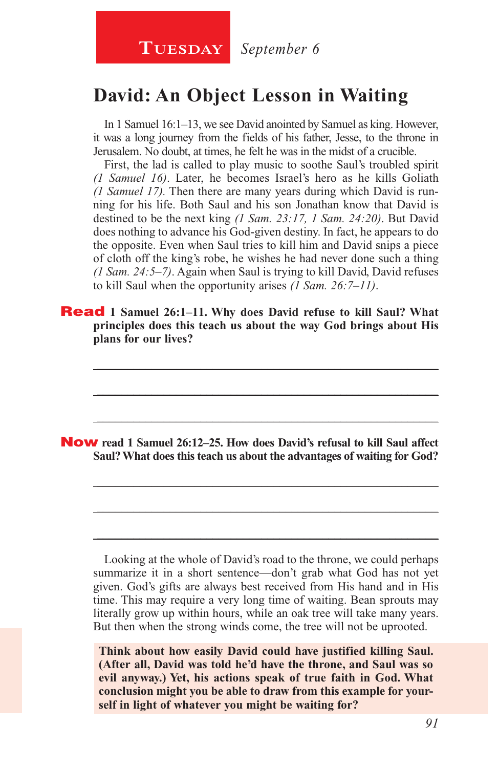## **David: An Object Lesson in Waiting**

In 1 Samuel 16:1–13, we see David anointed by Samuel as king. However, it was a long journey from the fields of his father, Jesse, to the throne in Jerusalem. No doubt, at times, he felt he was in the midst of a crucible.

First, the lad is called to play music to soothe Saul's troubled spirit *(1 Samuel 16)*. Later, he becomes Israel's hero as he kills Goliath *(1 Samuel 17).* Then there are many years during which David is running for his life. Both Saul and his son Jonathan know that David is destined to be the next king *(1 Sam. 23:17, 1 Sam. 24:20)*. But David does nothing to advance his God-given destiny. In fact, he appears to do the opposite. Even when Saul tries to kill him and David snips a piece of cloth off the king's robe, he wishes he had never done such a thing *(1 Sam. 24:5–7)*. Again when Saul is trying to kill David, David refuses to kill Saul when the opportunity arises *(1 Sam. 26:7–11)*.

Read **1 Samuel 26:1–11. Why does David refuse to kill Saul? What principles does this teach us about the way God brings about His plans for our lives?**

\_\_\_\_\_\_\_\_\_\_\_\_\_\_\_\_\_\_\_\_\_\_\_\_\_\_\_\_\_\_\_\_\_\_\_\_\_\_\_\_\_\_\_\_\_\_\_\_\_\_\_\_\_\_\_\_

\_\_\_\_\_\_\_\_\_\_\_\_\_\_\_\_\_\_\_\_\_\_\_\_\_\_\_\_\_\_\_\_\_\_\_\_\_\_\_\_\_\_\_\_\_\_\_\_\_\_\_\_\_\_\_\_

\_\_\_\_\_\_\_\_\_\_\_\_\_\_\_\_\_\_\_\_\_\_\_\_\_\_\_\_\_\_\_\_\_\_\_\_\_\_\_\_\_\_\_\_\_\_\_\_\_\_\_\_\_\_\_\_

\_\_\_\_\_\_\_\_\_\_\_\_\_\_\_\_\_\_\_\_\_\_\_\_\_\_\_\_\_\_\_\_\_\_\_\_\_\_\_\_\_\_\_\_\_\_\_\_\_\_\_\_\_\_\_\_

\_\_\_\_\_\_\_\_\_\_\_\_\_\_\_\_\_\_\_\_\_\_\_\_\_\_\_\_\_\_\_\_\_\_\_\_\_\_\_\_\_\_\_\_\_\_\_\_\_\_\_\_\_\_\_\_

\_\_\_\_\_\_\_\_\_\_\_\_\_\_\_\_\_\_\_\_\_\_\_\_\_\_\_\_\_\_\_\_\_\_\_\_\_\_\_\_\_\_\_\_\_\_\_\_\_\_\_\_\_\_\_\_

Now **read 1 Samuel 26:12–25. How does David's refusal to kill Saul affect Saul? What does this teach us about the advantages of waiting for God?**

Looking at the whole of David's road to the throne, we could perhaps summarize it in a short sentence—don't grab what God has not yet given. God's gifts are always best received from His hand and in His time. This may require a very long time of waiting. Bean sprouts may literally grow up within hours, while an oak tree will take many years. But then when the strong winds come, the tree will not be uprooted.

**Think about how easily David could have justified killing Saul. (After all, David was told he'd have the throne, and Saul was so evil anyway.) Yet, his actions speak of true faith in God. What conclusion might you be able to draw from this example for yourself in light of whatever you might be waiting for?**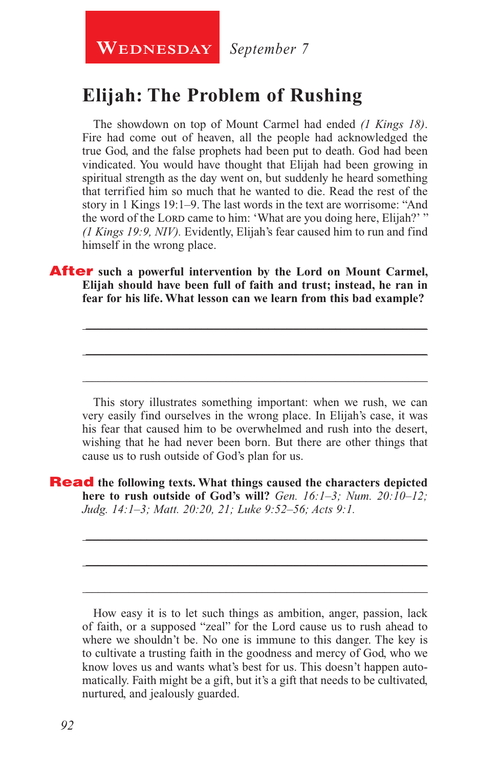**WEDNESDAY** September 7

### **Elijah: The Problem of Rushing**

The showdown on top of Mount Carmel had ended *(1 Kings 18)*. Fire had come out of heaven, all the people had acknowledged the true God, and the false prophets had been put to death. God had been vindicated. You would have thought that Elijah had been growing in spiritual strength as the day went on, but suddenly he heard something that terrified him so much that he wanted to die. Read the rest of the story in 1 Kings 19:1–9. The last words in the text are worrisome: "And the word of the Lord came to him: 'What are you doing here, Elijah?' " *(1 Kings 19:9, NIV).* Evidently, Elijah's fear caused him to run and find himself in the wrong place.

After **such a powerful intervention by the Lord on Mount Carmel, Elijah should have been full of faith and trust; instead, he ran in fear for his life. What lesson can we learn from this bad example?**

This story illustrates something important: when we rush, we can very easily find ourselves in the wrong place. In Elijah's case, it was his fear that caused him to be overwhelmed and rush into the desert, wishing that he had never been born. But there are other things that cause us to rush outside of God's plan for us.

\_\_\_\_\_\_\_\_\_\_\_\_\_\_\_\_\_\_\_\_\_\_\_\_\_\_\_\_\_\_\_\_\_\_\_\_\_\_\_\_\_\_\_\_\_\_\_\_\_\_\_\_\_\_\_\_

\_\_\_\_\_\_\_\_\_\_\_\_\_\_\_\_\_\_\_\_\_\_\_\_\_\_\_\_\_\_\_\_\_\_\_\_\_\_\_\_\_\_\_\_\_\_\_\_\_\_\_\_\_\_\_\_

\_\_\_\_\_\_\_\_\_\_\_\_\_\_\_\_\_\_\_\_\_\_\_\_\_\_\_\_\_\_\_\_\_\_\_\_\_\_\_\_\_\_\_\_\_\_\_\_\_\_\_\_\_\_\_\_

\_\_\_\_\_\_\_\_\_\_\_\_\_\_\_\_\_\_\_\_\_\_\_\_\_\_\_\_\_\_\_\_\_\_\_\_\_\_\_\_\_\_\_\_\_\_\_\_\_\_\_\_\_\_\_\_

\_\_\_\_\_\_\_\_\_\_\_\_\_\_\_\_\_\_\_\_\_\_\_\_\_\_\_\_\_\_\_\_\_\_\_\_\_\_\_\_\_\_\_\_\_\_\_\_\_\_\_\_\_\_\_\_

\_\_\_\_\_\_\_\_\_\_\_\_\_\_\_\_\_\_\_\_\_\_\_\_\_\_\_\_\_\_\_\_\_\_\_\_\_\_\_\_\_\_\_\_\_\_\_\_\_\_\_\_\_\_\_\_

Read **the following texts. What things caused the characters depicted here to rush outside of God's will?** *Gen. 16:1–3; Num. 20:10–12; Judg. 14:1–3; Matt. 20:20, 21; Luke 9:52–56; Acts 9:1.*

How easy it is to let such things as ambition, anger, passion, lack of faith, or a supposed "zeal" for the Lord cause us to rush ahead to where we shouldn't be. No one is immune to this danger. The key is to cultivate a trusting faith in the goodness and mercy of God, who we know loves us and wants what's best for us. This doesn't happen automatically. Faith might be a gift, but it's a gift that needs to be cultivated, nurtured, and jealously guarded.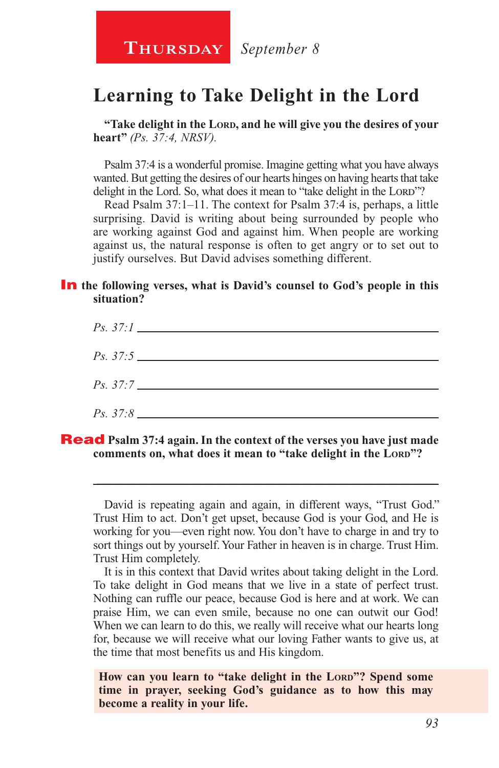**Thursday** *September 8*

## **Learning to Take Delight in the Lord**

**"Take delight in the Lord, and he will give you the desires of your heart"** *(Ps. 37:4, NRSV).*

Psalm 37:4 is a wonderful promise. Imagine getting what you have always wanted. But getting the desires of our hearts hinges on having hearts that take delight in the Lord. So, what does it mean to "take delight in the Lord"?

Read Psalm 37:1–11. The context for Psalm 37:4 is, perhaps, a little surprising. David is writing about being surrounded by people who are working against God and against him. When people are working against us, the natural response is often to get angry or to set out to justify ourselves. But David advises something different.

#### **In** the following verses, what is David's counsel to God's people in this **situation?**



#### Read **Psalm 37:4 again. In the context of the verses you have just made comments on, what does it mean to "take delight in the LORD"?**

David is repeating again and again, in different ways, "Trust God." Trust Him to act. Don't get upset, because God is your God, and He is working for you—even right now. You don't have to charge in and try to sort things out by yourself. Your Father in heaven is in charge. Trust Him. Trust Him completely.

\_\_\_\_\_\_\_\_\_\_\_\_\_\_\_\_\_\_\_\_\_\_\_\_\_\_\_\_\_\_\_\_\_\_\_\_\_\_\_\_\_\_\_\_\_\_\_\_\_\_\_\_\_\_\_\_

It is in this context that David writes about taking delight in the Lord. To take delight in God means that we live in a state of perfect trust. Nothing can ruffle our peace, because God is here and at work. We can praise Him, we can even smile, because no one can outwit our God! When we can learn to do this, we really will receive what our hearts long for, because we will receive what our loving Father wants to give us, at the time that most benefits us and His kingdom.

How can you learn to "take delight in the LORD"? Spend some **time in prayer, seeking God's guidance as to how this may become a reality in your life.**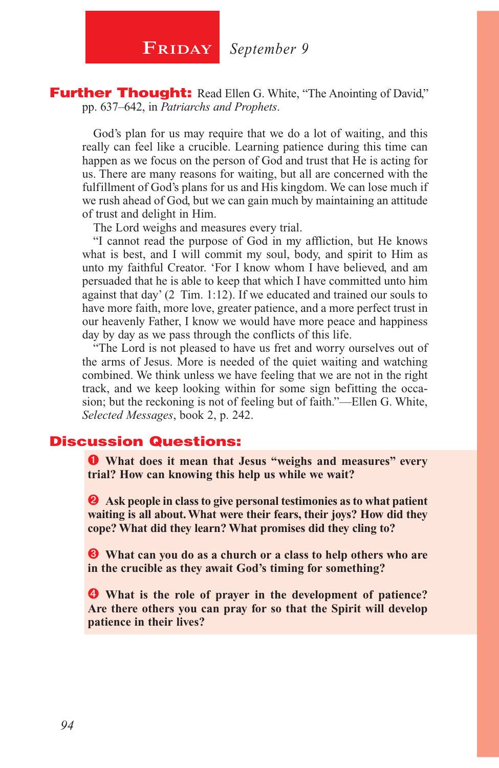**FRIDAY** September 9

**Further Thought:** Read Ellen G. White, "The Anointing of David," pp. 637–642, in *Patriarchs and Prophets*.

God's plan for us may require that we do a lot of waiting, and this really can feel like a crucible. Learning patience during this time can happen as we focus on the person of God and trust that He is acting for us. There are many reasons for waiting, but all are concerned with the fulfillment of God's plans for us and His kingdom. We can lose much if we rush ahead of God, but we can gain much by maintaining an attitude of trust and delight in Him.

The Lord weighs and measures every trial.

"I cannot read the purpose of God in my affliction, but He knows what is best, and I will commit my soul, body, and spirit to Him as unto my faithful Creator. 'For I know whom I have believed, and am persuaded that he is able to keep that which I have committed unto him against that day' (2 Tim. 1:12). If we educated and trained our souls to have more faith, more love, greater patience, and a more perfect trust in our heavenly Father, I know we would have more peace and happiness day by day as we pass through the conflicts of this life.

"The Lord is not pleased to have us fret and worry ourselves out of the arms of Jesus. More is needed of the quiet waiting and watching combined. We think unless we have feeling that we are not in the right track, and we keep looking within for some sign befitting the occasion; but the reckoning is not of feeling but of faith."—Ellen G. White, *Selected Messages*, book 2, p. 242.

#### Discussion Questions:

 **What does it mean that Jesus "weighs and measures" every trial? How can knowing this help us while we wait?**

**2** Ask people in class to give personal testimonies as to what patient **waiting is all about. What were their fears, their joys? How did they cope? What did they learn? What promises did they cling to?**

 **What can you do as a church or a class to help others who are in the crucible as they await God's timing for something?**

 **What is the role of prayer in the development of patience? Are there others you can pray for so that the Spirit will develop patience in their lives?**